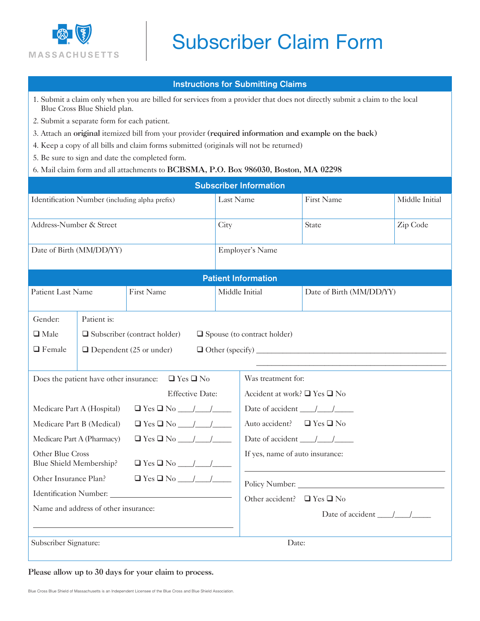

## Subscriber Claim Form

## Instructions for Submitting Claims

- 1. Submit a claim only when you are billed for services from a provider that does not directly submit a claim to the local Blue Cross Blue Shield plan.
- 2. Submit a separate form for each patient.
- 3. Attach an original itemized bill from your provider (required information and example on the back)
- 4. Keep a copy of all bills and claim forms submitted (originals will not be returned)
- 5. Be sure to sign and date the completed form.
- 6. Mail claim form and all attachments to BCBSMA, P.O. Box 986030, Boston, MA 02298

| <b>Subscriber Information</b>                                  |                                                                           |                   |                |                                                   |                          |                |  |  |  |
|----------------------------------------------------------------|---------------------------------------------------------------------------|-------------------|----------------|---------------------------------------------------|--------------------------|----------------|--|--|--|
| Identification Number (including alpha prefix)                 |                                                                           |                   | Last Name      |                                                   | First Name               | Middle Initial |  |  |  |
| Address-Number & Street                                        |                                                                           |                   | City           |                                                   | State                    | Zip Code       |  |  |  |
| Date of Birth (MM/DD/YY)                                       |                                                                           |                   |                | Employer's Name                                   |                          |                |  |  |  |
| <b>Patient Information</b>                                     |                                                                           |                   |                |                                                   |                          |                |  |  |  |
| Patient Last Name                                              |                                                                           | <b>First Name</b> | Middle Initial |                                                   | Date of Birth (MM/DD/YY) |                |  |  |  |
| Gender:                                                        | Patient is:                                                               |                   |                |                                                   |                          |                |  |  |  |
| $\Box$ Male                                                    | $\Box$ Subscriber (contract holder)<br>$\Box$ Spouse (to contract holder) |                   |                |                                                   |                          |                |  |  |  |
| $\Box$ Female                                                  | $\Box$ Dependent (25 or under)                                            |                   |                |                                                   |                          |                |  |  |  |
| Does the patient have other insurance:<br>$\Box$ Yes $\Box$ No |                                                                           |                   |                | Was treatment for:                                |                          |                |  |  |  |
| <b>Effective Date:</b>                                         |                                                                           |                   |                | Accident at work? $\Box$ Yes $\Box$ No            |                          |                |  |  |  |
| Medicare Part A (Hospital)                                     |                                                                           |                   |                | Date of accident $\frac{1}{\sqrt{1-\frac{1}{2}}}$ |                          |                |  |  |  |
| $\Box$ Yes $\Box$ No $\Box$<br>Medicare Part B (Medical)       |                                                                           |                   |                | Auto accident? $\Box$ Yes $\Box$ No               |                          |                |  |  |  |
| Medicare Part A (Pharmacy)                                     |                                                                           |                   |                | Date of accident $\frac{1}{\sqrt{1-\frac{1}{2}}}$ |                          |                |  |  |  |
| Other Blue Cross<br>Blue Shield Membership?                    |                                                                           |                   |                | If yes, name of auto insurance:                   |                          |                |  |  |  |
| Other Insurance Plan?                                          |                                                                           |                   |                |                                                   | Policy Number:           |                |  |  |  |
| Identification Number:                                         |                                                                           |                   |                | Other accident? $\Box$ Yes $\Box$ No              |                          |                |  |  |  |
| Name and address of other insurance:                           |                                                                           |                   |                | Date of accident $\frac{\sqrt{}}{\sqrt{}}$        |                          |                |  |  |  |
| Subscriber Signature:                                          |                                                                           |                   |                | Date:                                             |                          |                |  |  |  |

## Please allow up to 30 days for your claim to process.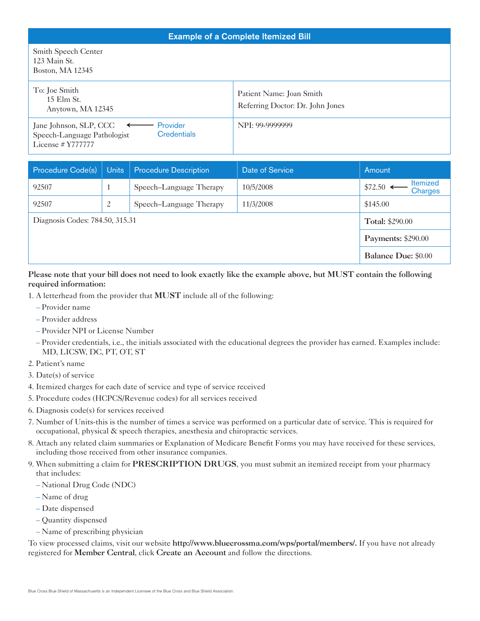| <b>Example of a Complete Itemized Bill</b>                                                                                   |                                                              |  |  |  |  |  |
|------------------------------------------------------------------------------------------------------------------------------|--------------------------------------------------------------|--|--|--|--|--|
| Smith Speech Center<br>123 Main St.<br>Boston, MA 12345                                                                      |                                                              |  |  |  |  |  |
| To: Joe Smith<br>15 Elm St.<br>Anytown, MA 12345                                                                             | Patient Name: Joan Smith<br>Referring Doctor: Dr. John Jones |  |  |  |  |  |
| Jane Johnson, SLP, CCC $\leftarrow$<br>Provider<br><b>Credentials</b><br>Speech-Language Pathologist<br>License $# Y7777777$ | NPI: 99-9999999                                              |  |  |  |  |  |

| Procedure Code(s)               | Units                     | <b>Procedure Description</b> | Date of Service | Amount                                   |
|---------------------------------|---------------------------|------------------------------|-----------------|------------------------------------------|
| 92507                           |                           | Speech-Language Therapy      | 10/5/2008       | <b>Itemized</b><br>$$72.50$ <<br>Charges |
| 92507                           | 2                         | Speech-Language Therapy      | 11/3/2008       | \$145.00                                 |
| Diagnosis Codes: 784.50, 315.31 | <b>Total: \$290.00</b>    |                              |                 |                                          |
|                                 | <b>Payments: \$290.00</b> |                              |                 |                                          |
|                                 |                           |                              |                 | <b>Balance Due: \$0.00</b>               |

Please note that your bill does not need to look exactly like the example above, but MUST contain the following required information:

- 1. A letterhead from the provider that MUST include all of the following:
	- Provider name
	- Provider address
	- Provider NPI or License Number
	- Provider credentials, i.e., the initials associated with the educational degrees the provider has earned. Examples include: MD, LICSW, DC, PT, OT, ST
- 2. Patient's name
- 3. Date(s) of service
- 4. Itemized charges for each date of service and type of service received
- 5. Procedure codes (HCPCS/Revenue codes) for all services received
- 6. Diagnosis code(s) for services received
- 7. Number of Units-this is the number of times a service was performed on a particular date of service. This is required for occupational, physical & speech therapies, anesthesia and chiropractic services.
- 8. Attach any related claim summaries or Explanation of Medicare Benefit Forms you may have received for these services, including those received from other insurance companies.
- 9. When submitting a claim for PRESCRIPTION DRUGS, you must submit an itemized receipt from your pharmacy that includes:
	- National Drug Code (NDC)
	- Name of drug
	- Date dispensed
	- Quantity dispensed
	- Name of prescribing physician

To view processed claims, visit our website http://www.bluecrossma.com/wps/portal/members/. If you have not already registered for Member Central, click Create an Account and follow the directions.